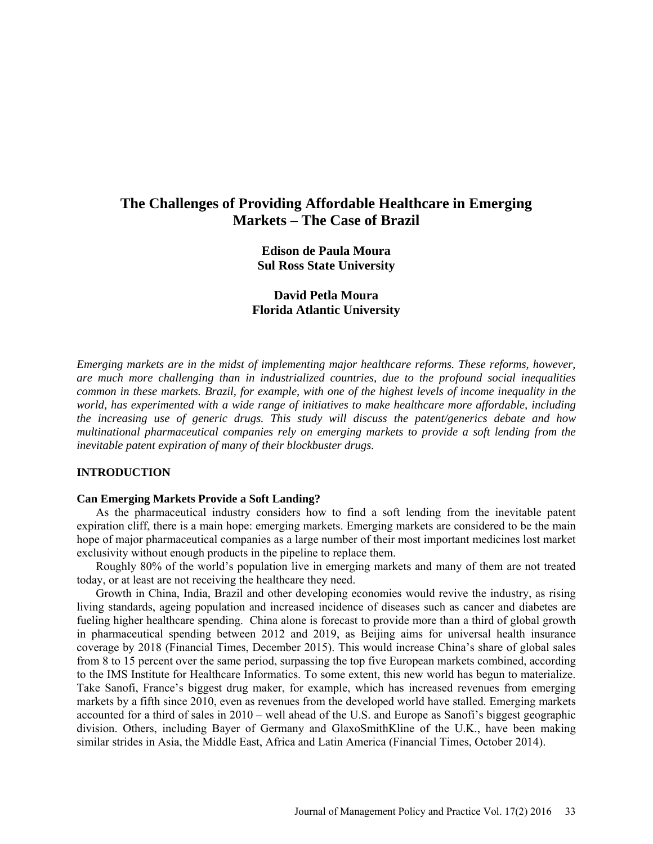# **The Challenges of Providing Affordable Healthcare in Emerging Markets – The Case of Brazil**

**Edison de Paula Moura Sul Ross State University**

**David Petla Moura Florida Atlantic University**

*Emerging markets are in the midst of implementing major healthcare reforms. These reforms, however, are much more challenging than in industrialized countries, due to the profound social inequalities common in these markets. Brazil, for example, with one of the highest levels of income inequality in the world, has experimented with a wide range of initiatives to make healthcare more affordable, including the increasing use of generic drugs. This study will discuss the patent/generics debate and how multinational pharmaceutical companies rely on emerging markets to provide a soft lending from the inevitable patent expiration of many of their blockbuster drugs.* 

### **INTRODUCTION**

### **Can Emerging Markets Provide a Soft Landing?**

As the pharmaceutical industry considers how to find a soft lending from the inevitable patent expiration cliff, there is a main hope: emerging markets. Emerging markets are considered to be the main hope of major pharmaceutical companies as a large number of their most important medicines lost market exclusivity without enough products in the pipeline to replace them.

Roughly 80% of the world's population live in emerging markets and many of them are not treated today, or at least are not receiving the healthcare they need.

Growth in China, India, Brazil and other developing economies would revive the industry, as rising living standards, ageing population and increased incidence of diseases such as cancer and diabetes are fueling higher healthcare spending. China alone is forecast to provide more than a third of global growth in pharmaceutical spending between 2012 and 2019, as Beijing aims for universal health insurance coverage by 2018 (Financial Times, December 2015). This would increase China's share of global sales from 8 to 15 percent over the same period, surpassing the top five European markets combined, according to the IMS Institute for Healthcare Informatics. To some extent, this new world has begun to materialize. Take Sanofi, France's biggest drug maker, for example, which has increased revenues from emerging markets by a fifth since 2010, even as revenues from the developed world have stalled. Emerging markets accounted for a third of sales in 2010 – well ahead of the U.S. and Europe as Sanofi's biggest geographic division. Others, including Bayer of Germany and GlaxoSmithKline of the U.K., have been making similar strides in Asia, the Middle East, Africa and Latin America (Financial Times, October 2014).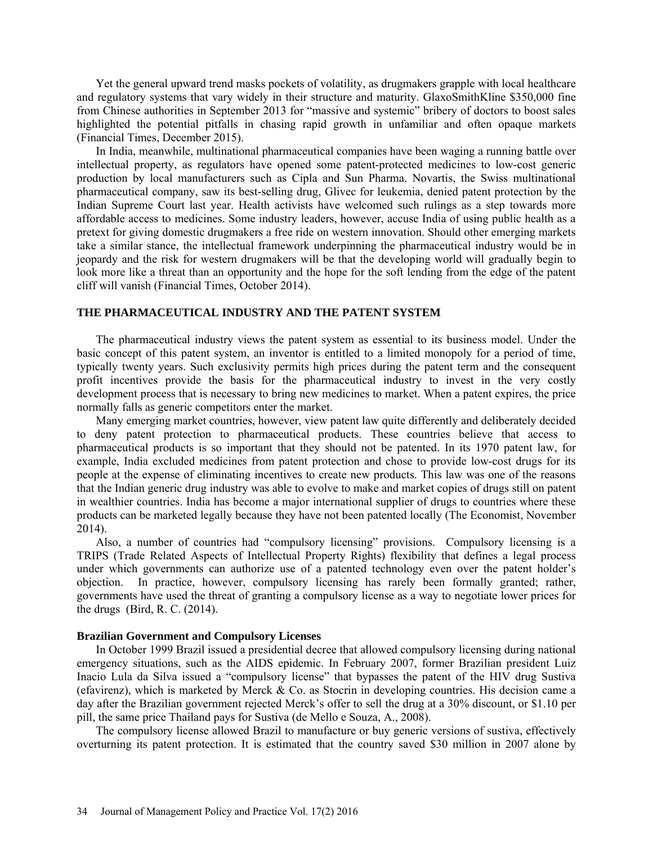Yet the general upward trend masks pockets of volatility, as drugmakers grapple with local healthcare and regulatory systems that vary widely in their structure and maturity. GlaxoSmithKline \$350,000 fine from Chinese authorities in September 2013 for "massive and systemic" bribery of doctors to boost sales highlighted the potential pitfalls in chasing rapid growth in unfamiliar and often opaque markets (Financial Times, December 2015).

In India, meanwhile, multinational pharmaceutical companies have been waging a running battle over intellectual property, as regulators have opened some patent-protected medicines to low-cost generic production by local manufacturers such as Cipla and Sun Pharma. Novartis, the Swiss multinational pharmaceutical company, saw its best-selling drug, Glivec for leukemia, denied patent protection by the Indian Supreme Court last year. Health activists have welcomed such rulings as a step towards more affordable access to medicines. Some industry leaders, however, accuse India of using public health as a pretext for giving domestic drugmakers a free ride on western innovation. Should other emerging markets take a similar stance, the intellectual framework underpinning the pharmaceutical industry would be in jeopardy and the risk for western drugmakers will be that the developing world will gradually begin to look more like a threat than an opportunity and the hope for the soft lending from the edge of the patent cliff will vanish (Financial Times, October 2014).

### **THE PHARMACEUTICAL INDUSTRY AND THE PATENT SYSTEM**

The pharmaceutical industry views the patent system as essential to its business model. Under the basic concept of this patent system, an inventor is entitled to a limited monopoly for a period of time, typically twenty years. Such exclusivity permits high prices during the patent term and the consequent profit incentives provide the basis for the pharmaceutical industry to invest in the very costly development process that is necessary to bring new medicines to market. When a patent expires, the price normally falls as generic competitors enter the market.

Many emerging market countries, however, view patent law quite differently and deliberately decided to deny patent protection to pharmaceutical products. These countries believe that access to pharmaceutical products is so important that they should not be patented. In its 1970 patent law, for example, India excluded medicines from patent protection and chose to provide low-cost drugs for its people at the expense of eliminating incentives to create new products. This law was one of the reasons that the Indian generic drug industry was able to evolve to make and market copies of drugs still on patent in wealthier countries. India has become a major international supplier of drugs to countries where these products can be marketed legally because they have not been patented locally (The Economist, November 2014).

Also, a number of countries had "compulsory licensing" provisions. Compulsory licensing is a TRIPS (Trade Related Aspects of Intellectual Property Rights) flexibility that defines a legal process under which governments can authorize use of a patented technology even over the patent holder's objection. In practice, however, compulsory licensing has rarely been formally granted; rather, governments have used the threat of granting a compulsory license as a way to negotiate lower prices for the drugs (Bird, R. C. (2014).

#### **Brazilian Government and Compulsory Licenses**

In October 1999 Brazil issued a presidential decree that allowed compulsory licensing during national emergency situations, such as the AIDS epidemic. In February 2007, former Brazilian president Luiz Inacio Lula da Silva issued a "compulsory license" that bypasses the patent of the HIV drug Sustiva (efavirenz), which is marketed by Merck & Co. as Stocrin in developing countries. His decision came a day after the Brazilian government rejected Merck's offer to sell the drug at a 30% discount, or \$1.10 per pill, the same price Thailand pays for Sustiva (de Mello e Souza, A., 2008).

The compulsory license allowed Brazil to manufacture or buy generic versions of sustiva, effectively overturning its patent protection. It is estimated that the country saved \$30 million in 2007 alone by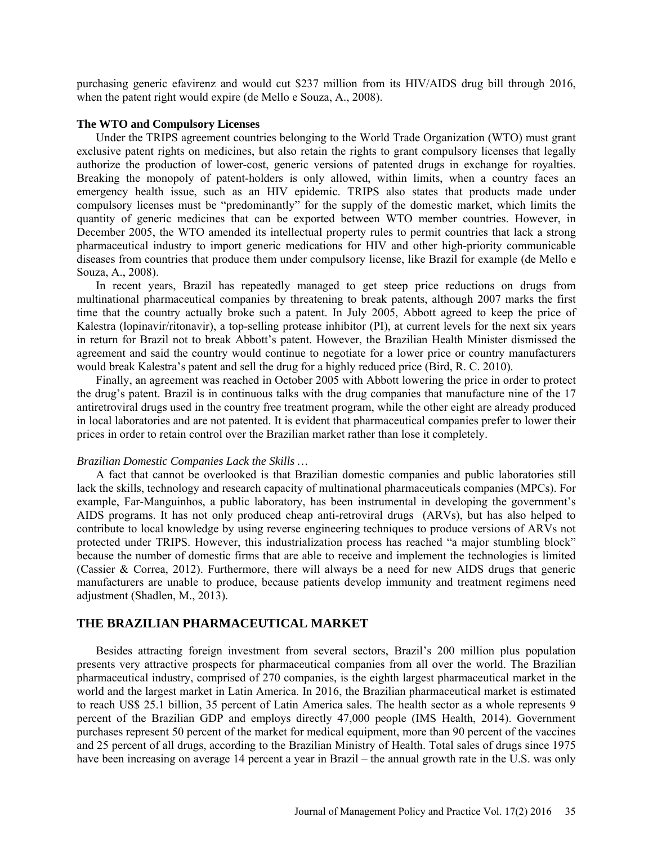purchasing generic efavirenz and would cut \$237 million from its HIV/AIDS drug bill through 2016, when the patent right would expire (de Mello e Souza, A., 2008).

#### **The WTO and Compulsory Licenses**

Under the TRIPS agreement countries belonging to the World Trade Organization (WTO) must grant exclusive patent rights on medicines, but also retain the rights to grant compulsory licenses that legally authorize the production of lower-cost, generic versions of patented drugs in exchange for royalties. Breaking the monopoly of patent-holders is only allowed, within limits, when a country faces an emergency health issue, such as an HIV epidemic. TRIPS also states that products made under compulsory licenses must be "predominantly" for the supply of the domestic market, which limits the quantity of generic medicines that can be exported between WTO member countries. However, in December 2005, the WTO amended its intellectual property rules to permit countries that lack a strong pharmaceutical industry to import generic medications for HIV and other high-priority communicable diseases from countries that produce them under compulsory license, like Brazil for example (de Mello e Souza, A., 2008).

In recent years, Brazil has repeatedly managed to get steep price reductions on drugs from multinational pharmaceutical companies by threatening to break patents, although 2007 marks the first time that the country actually broke such a patent. In July 2005, Abbott agreed to keep the price of Kalestra (lopinavir/ritonavir), a top-selling protease inhibitor (PI), at current levels for the next six years in return for Brazil not to break Abbott's patent. However, the Brazilian Health Minister dismissed the agreement and said the country would continue to negotiate for a lower price or country manufacturers would break Kalestra's patent and sell the drug for a highly reduced price (Bird, R. C. 2010).

Finally, an agreement was reached in October 2005 with Abbott lowering the price in order to protect the drug's patent. Brazil is in continuous talks with the drug companies that manufacture nine of the 17 antiretroviral drugs used in the country free treatment program, while the other eight are already produced in local laboratories and are not patented. It is evident that pharmaceutical companies prefer to lower their prices in order to retain control over the Brazilian market rather than lose it completely.

#### *Brazilian Domestic Companies Lack the Skills …*

A fact that cannot be overlooked is that Brazilian domestic companies and public laboratories still lack the skills, technology and research capacity of multinational pharmaceuticals companies (MPCs). For example, Far-Manguinhos, a public laboratory, has been instrumental in developing the government's AIDS programs. It has not only produced cheap anti-retroviral drugs (ARVs), but has also helped to contribute to local knowledge by using reverse engineering techniques to produce versions of ARVs not protected under TRIPS. However, this industrialization process has reached "a major stumbling block" because the number of domestic firms that are able to receive and implement the technologies is limited (Cassier & Correa, 2012). Furthermore, there will always be a need for new AIDS drugs that generic manufacturers are unable to produce, because patients develop immunity and treatment regimens need adjustment (Shadlen, M., 2013).

## **THE BRAZILIAN PHARMACEUTICAL MARKET**

Besides attracting foreign investment from several sectors, Brazil's 200 million plus population presents very attractive prospects for pharmaceutical companies from all over the world. The Brazilian pharmaceutical industry, comprised of 270 companies, is the eighth largest pharmaceutical market in the world and the largest market in Latin America. In 2016, the Brazilian pharmaceutical market is estimated to reach US\$ 25.1 billion, 35 percent of Latin America sales. The health sector as a whole represents 9 percent of the Brazilian GDP and employs directly 47,000 people (IMS Health, 2014). Government purchases represent 50 percent of the market for medical equipment, more than 90 percent of the vaccines and 25 percent of all drugs, according to the Brazilian Ministry of Health. Total sales of drugs since 1975 have been increasing on average 14 percent a year in Brazil – the annual growth rate in the U.S. was only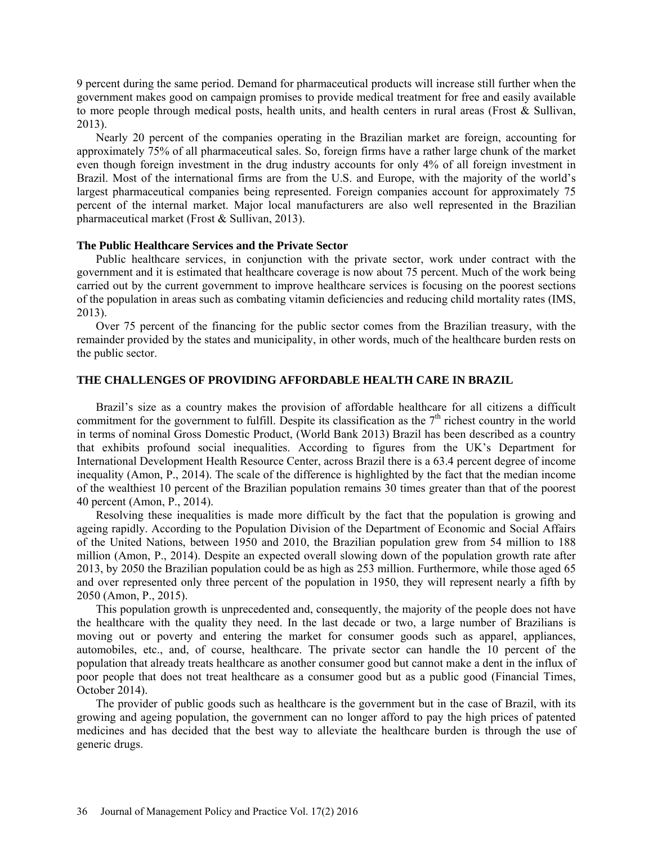9 percent during the same period. Demand for pharmaceutical products will increase still further when the government makes good on campaign promises to provide medical treatment for free and easily available to more people through medical posts, health units, and health centers in rural areas (Frost & Sullivan, 2013).

Nearly 20 percent of the companies operating in the Brazilian market are foreign, accounting for approximately 75% of all pharmaceutical sales. So, foreign firms have a rather large chunk of the market even though foreign investment in the drug industry accounts for only 4% of all foreign investment in Brazil. Most of the international firms are from the U.S. and Europe, with the majority of the world's largest pharmaceutical companies being represented. Foreign companies account for approximately 75 percent of the internal market. Major local manufacturers are also well represented in the Brazilian pharmaceutical market (Frost & Sullivan, 2013).

### **The Public Healthcare Services and the Private Sector**

Public healthcare services, in conjunction with the private sector, work under contract with the government and it is estimated that healthcare coverage is now about 75 percent. Much of the work being carried out by the current government to improve healthcare services is focusing on the poorest sections of the population in areas such as combating vitamin deficiencies and reducing child mortality rates (IMS, 2013).

Over 75 percent of the financing for the public sector comes from the Brazilian treasury, with the remainder provided by the states and municipality, in other words, much of the healthcare burden rests on the public sector.

### **THE CHALLENGES OF PROVIDING AFFORDABLE HEALTH CARE IN BRAZIL**

Brazil's size as a country makes the provision of affordable healthcare for all citizens a difficult commitment for the government to fulfill. Despite its classification as the  $7<sup>th</sup>$  richest country in the world in terms of nominal Gross Domestic Product, (World Bank 2013) Brazil has been described as a country that exhibits profound social inequalities. According to figures from the UK's Department for International Development Health Resource Center, across Brazil there is a 63.4 percent degree of income inequality (Amon, P., 2014). The scale of the difference is highlighted by the fact that the median income of the wealthiest 10 percent of the Brazilian population remains 30 times greater than that of the poorest 40 percent (Amon, P., 2014).

Resolving these inequalities is made more difficult by the fact that the population is growing and ageing rapidly. According to the Population Division of the Department of Economic and Social Affairs of the United Nations, between 1950 and 2010, the Brazilian population grew from 54 million to 188 million (Amon, P., 2014). Despite an expected overall slowing down of the population growth rate after 2013, by 2050 the Brazilian population could be as high as 253 million. Furthermore, while those aged 65 and over represented only three percent of the population in 1950, they will represent nearly a fifth by 2050 (Amon, P., 2015).

This population growth is unprecedented and, consequently, the majority of the people does not have the healthcare with the quality they need. In the last decade or two, a large number of Brazilians is moving out or poverty and entering the market for consumer goods such as apparel, appliances, automobiles, etc., and, of course, healthcare. The private sector can handle the 10 percent of the population that already treats healthcare as another consumer good but cannot make a dent in the influx of poor people that does not treat healthcare as a consumer good but as a public good (Financial Times, October 2014).

The provider of public goods such as healthcare is the government but in the case of Brazil, with its growing and ageing population, the government can no longer afford to pay the high prices of patented medicines and has decided that the best way to alleviate the healthcare burden is through the use of generic drugs.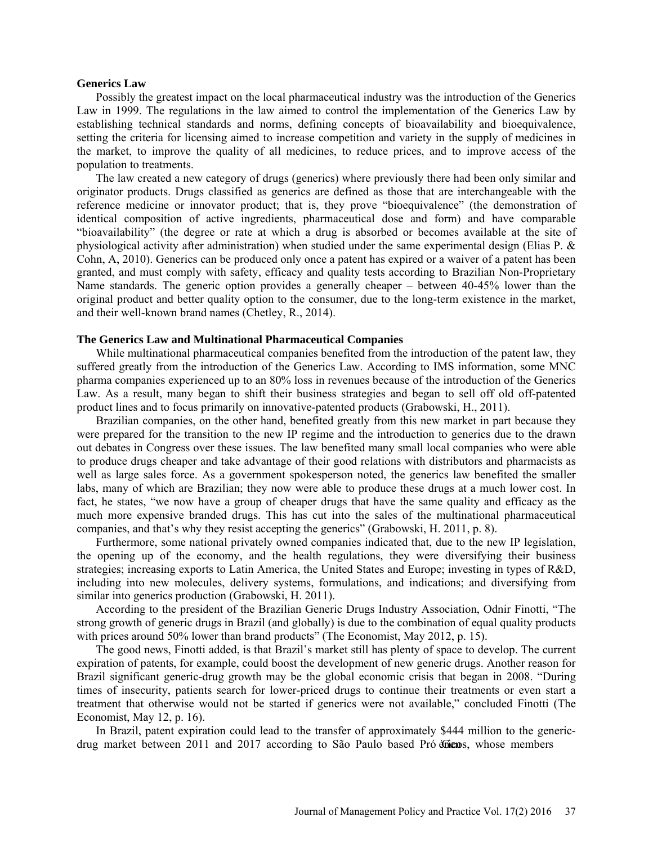#### **Generics Law**

Possibly the greatest impact on the local pharmaceutical industry was the introduction of the Generics Law in 1999. The regulations in the law aimed to control the implementation of the Generics Law by establishing technical standards and norms, defining concepts of bioavailability and bioequivalence, setting the criteria for licensing aimed to increase competition and variety in the supply of medicines in the market, to improve the quality of all medicines, to reduce prices, and to improve access of the population to treatments.

The law created a new category of drugs (generics) where previously there had been only similar and originator products. Drugs classified as generics are defined as those that are interchangeable with the reference medicine or innovator product; that is, they prove "bioequivalence" (the demonstration of identical composition of active ingredients, pharmaceutical dose and form) and have comparable "bioavailability" (the degree or rate at which a drug is absorbed or becomes available at the site of physiological activity after administration) when studied under the same experimental design (Elias P. & Cohn, A, 2010). Generics can be produced only once a patent has expired or a waiver of a patent has been granted, and must comply with safety, efficacy and quality tests according to Brazilian Non-Proprietary Name standards. The generic option provides a generally cheaper – between 40-45% lower than the original product and better quality option to the consumer, due to the long-term existence in the market, and their well-known brand names (Chetley, R., 2014).

#### **The Generics Law and Multinational Pharmaceutical Companies**

While multinational pharmaceutical companies benefited from the introduction of the patent law, they suffered greatly from the introduction of the Generics Law. According to IMS information, some MNC pharma companies experienced up to an 80% loss in revenues because of the introduction of the Generics Law. As a result, many began to shift their business strategies and began to sell off old off-patented product lines and to focus primarily on innovative-patented products (Grabowski, H., 2011).

Brazilian companies, on the other hand, benefited greatly from this new market in part because they were prepared for the transition to the new IP regime and the introduction to generics due to the drawn out debates in Congress over these issues. The law benefited many small local companies who were able to produce drugs cheaper and take advantage of their good relations with distributors and pharmacists as well as large sales force. As a government spokesperson noted, the generics law benefited the smaller labs, many of which are Brazilian; they now were able to produce these drugs at a much lower cost. In fact, he states, "we now have a group of cheaper drugs that have the same quality and efficacy as the much more expensive branded drugs. This has cut into the sales of the multinational pharmaceutical companies, and that's why they resist accepting the generics" (Grabowski, H. 2011, p. 8).

Furthermore, some national privately owned companies indicated that, due to the new IP legislation, the opening up of the economy, and the health regulations, they were diversifying their business strategies; increasing exports to Latin America, the United States and Europe; investing in types of R&D, including into new molecules, delivery systems, formulations, and indications; and diversifying from similar into generics production (Grabowski, H. 2011).

According to the president of the Brazilian Generic Drugs Industry Association, Odnir Finotti, "The strong growth of generic drugs in Brazil (and globally) is due to the combination of equal quality products with prices around 50% lower than brand products" (The Economist, May 2012, p. 15).

The good news, Finotti added, is that Brazil's market still has plenty of space to develop. The current expiration of patents, for example, could boost the development of new generic drugs. Another reason for Brazil significant generic-drug growth may be the global economic crisis that began in 2008. "During times of insecurity, patients search for lower-priced drugs to continue their treatments or even start a treatment that otherwise would not be started if generics were not available," concluded Finotti (The Economist, May 12, p. 16).

In Brazil, patent expiration could lead to the transfer of approximately \$444 million to the genericdrug market between 2011 and 2017 according to São Paulo based Pró diens, whose members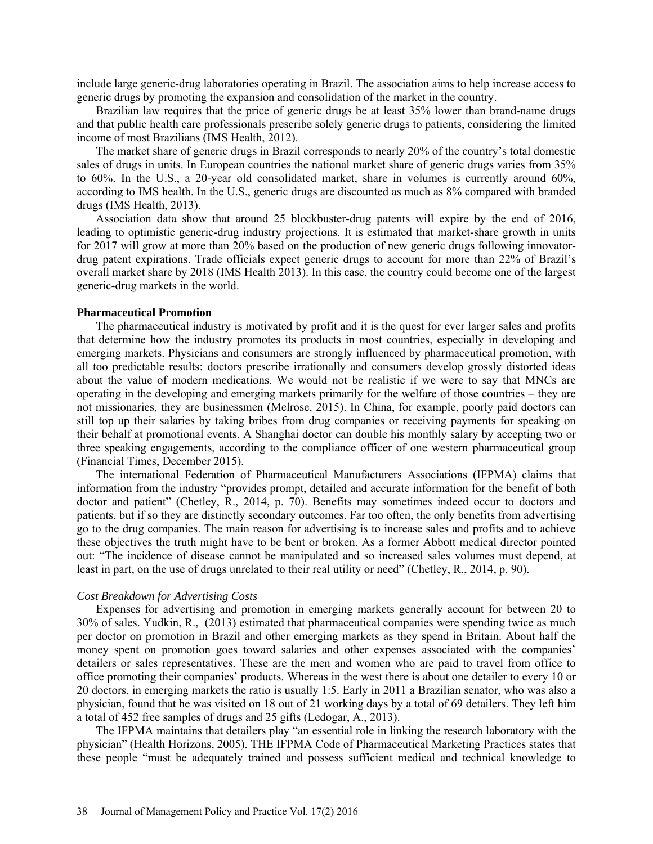include large generic-drug laboratories operating in Brazil. The association aims to help increase access to generic drugs by promoting the expansion and consolidation of the market in the country.

Brazilian law requires that the price of generic drugs be at least 35% lower than brand-name drugs and that public health care professionals prescribe solely generic drugs to patients, considering the limited income of most Brazilians (IMS Health, 2012).

The market share of generic drugs in Brazil corresponds to nearly 20% of the country's total domestic sales of drugs in units. In European countries the national market share of generic drugs varies from 35% to 60%. In the U.S., a 20-year old consolidated market, share in volumes is currently around 60%, according to IMS health. In the U.S., generic drugs are discounted as much as 8% compared with branded drugs (IMS Health, 2013).

Association data show that around 25 blockbuster-drug patents will expire by the end of 2016, leading to optimistic generic-drug industry projections. It is estimated that market-share growth in units for 2017 will grow at more than 20% based on the production of new generic drugs following innovatordrug patent expirations. Trade officials expect generic drugs to account for more than 22% of Brazil's overall market share by 2018 (IMS Health 2013). In this case, the country could become one of the largest generic-drug markets in the world.

#### **Pharmaceutical Promotion**

The pharmaceutical industry is motivated by profit and it is the quest for ever larger sales and profits that determine how the industry promotes its products in most countries, especially in developing and emerging markets. Physicians and consumers are strongly influenced by pharmaceutical promotion, with all too predictable results: doctors prescribe irrationally and consumers develop grossly distorted ideas about the value of modern medications. We would not be realistic if we were to say that MNCs are operating in the developing and emerging markets primarily for the welfare of those countries – they are not missionaries, they are businessmen (Melrose, 2015). In China, for example, poorly paid doctors can still top up their salaries by taking bribes from drug companies or receiving payments for speaking on their behalf at promotional events. A Shanghai doctor can double his monthly salary by accepting two or three speaking engagements, according to the compliance officer of one western pharmaceutical group (Financial Times, December 2015).

The international Federation of Pharmaceutical Manufacturers Associations (IFPMA) claims that information from the industry "provides prompt, detailed and accurate information for the benefit of both doctor and patient" (Chetley, R., 2014, p. 70). Benefits may sometimes indeed occur to doctors and patients, but if so they are distinctly secondary outcomes. Far too often, the only benefits from advertising go to the drug companies. The main reason for advertising is to increase sales and profits and to achieve these objectives the truth might have to be bent or broken. As a former Abbott medical director pointed out: "The incidence of disease cannot be manipulated and so increased sales volumes must depend, at least in part, on the use of drugs unrelated to their real utility or need" (Chetley, R., 2014, p. 90).

#### *Cost Breakdown for Advertising Costs*

Expenses for advertising and promotion in emerging markets generally account for between 20 to 30% of sales. Yudkin, R., (2013) estimated that pharmaceutical companies were spending twice as much per doctor on promotion in Brazil and other emerging markets as they spend in Britain. About half the money spent on promotion goes toward salaries and other expenses associated with the companies' detailers or sales representatives. These are the men and women who are paid to travel from office to office promoting their companies' products. Whereas in the west there is about one detailer to every 10 or 20 doctors, in emerging markets the ratio is usually 1:5. Early in 2011 a Brazilian senator, who was also a physician, found that he was visited on 18 out of 21 working days by a total of 69 detailers. They left him a total of 452 free samples of drugs and 25 gifts (Ledogar, A., 2013).

The IFPMA maintains that detailers play "an essential role in linking the research laboratory with the physician" (Health Horizons, 2005). THE IFPMA Code of Pharmaceutical Marketing Practices states that these people "must be adequately trained and possess sufficient medical and technical knowledge to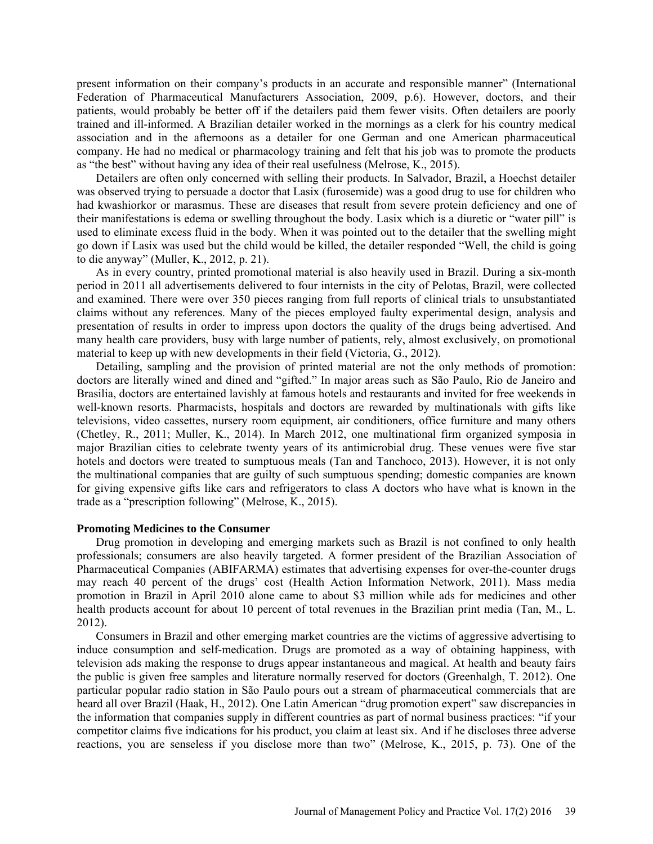present information on their company's products in an accurate and responsible manner" (International Federation of Pharmaceutical Manufacturers Association, 2009, p.6). However, doctors, and their patients, would probably be better off if the detailers paid them fewer visits. Often detailers are poorly trained and ill-informed. A Brazilian detailer worked in the mornings as a clerk for his country medical association and in the afternoons as a detailer for one German and one American pharmaceutical company. He had no medical or pharmacology training and felt that his job was to promote the products as "the best" without having any idea of their real usefulness (Melrose, K., 2015).

Detailers are often only concerned with selling their products. In Salvador, Brazil, a Hoechst detailer was observed trying to persuade a doctor that Lasix (furosemide) was a good drug to use for children who had kwashiorkor or marasmus. These are diseases that result from severe protein deficiency and one of their manifestations is edema or swelling throughout the body. Lasix which is a diuretic or "water pill" is used to eliminate excess fluid in the body. When it was pointed out to the detailer that the swelling might go down if Lasix was used but the child would be killed, the detailer responded "Well, the child is going to die anyway" (Muller, K., 2012, p. 21).

As in every country, printed promotional material is also heavily used in Brazil. During a six-month period in 2011 all advertisements delivered to four internists in the city of Pelotas, Brazil, were collected and examined. There were over 350 pieces ranging from full reports of clinical trials to unsubstantiated claims without any references. Many of the pieces employed faulty experimental design, analysis and presentation of results in order to impress upon doctors the quality of the drugs being advertised. And many health care providers, busy with large number of patients, rely, almost exclusively, on promotional material to keep up with new developments in their field (Victoria, G., 2012).

Detailing, sampling and the provision of printed material are not the only methods of promotion: doctors are literally wined and dined and "gifted." In major areas such as São Paulo, Rio de Janeiro and Brasilia, doctors are entertained lavishly at famous hotels and restaurants and invited for free weekends in well-known resorts. Pharmacists, hospitals and doctors are rewarded by multinationals with gifts like televisions, video cassettes, nursery room equipment, air conditioners, office furniture and many others (Chetley, R., 2011; Muller, K., 2014). In March 2012, one multinational firm organized symposia in major Brazilian cities to celebrate twenty years of its antimicrobial drug. These venues were five star hotels and doctors were treated to sumptuous meals (Tan and Tanchoco, 2013). However, it is not only the multinational companies that are guilty of such sumptuous spending; domestic companies are known for giving expensive gifts like cars and refrigerators to class A doctors who have what is known in the trade as a "prescription following" (Melrose, K., 2015).

#### **Promoting Medicines to the Consumer**

Drug promotion in developing and emerging markets such as Brazil is not confined to only health professionals; consumers are also heavily targeted. A former president of the Brazilian Association of Pharmaceutical Companies (ABIFARMA) estimates that advertising expenses for over-the-counter drugs may reach 40 percent of the drugs' cost (Health Action Information Network, 2011). Mass media promotion in Brazil in April 2010 alone came to about \$3 million while ads for medicines and other health products account for about 10 percent of total revenues in the Brazilian print media (Tan, M., L. 2012).

Consumers in Brazil and other emerging market countries are the victims of aggressive advertising to induce consumption and self-medication. Drugs are promoted as a way of obtaining happiness, with television ads making the response to drugs appear instantaneous and magical. At health and beauty fairs the public is given free samples and literature normally reserved for doctors (Greenhalgh, T. 2012). One particular popular radio station in São Paulo pours out a stream of pharmaceutical commercials that are heard all over Brazil (Haak, H., 2012). One Latin American "drug promotion expert" saw discrepancies in the information that companies supply in different countries as part of normal business practices: "if your competitor claims five indications for his product, you claim at least six. And if he discloses three adverse reactions, you are senseless if you disclose more than two" (Melrose, K., 2015, p. 73). One of the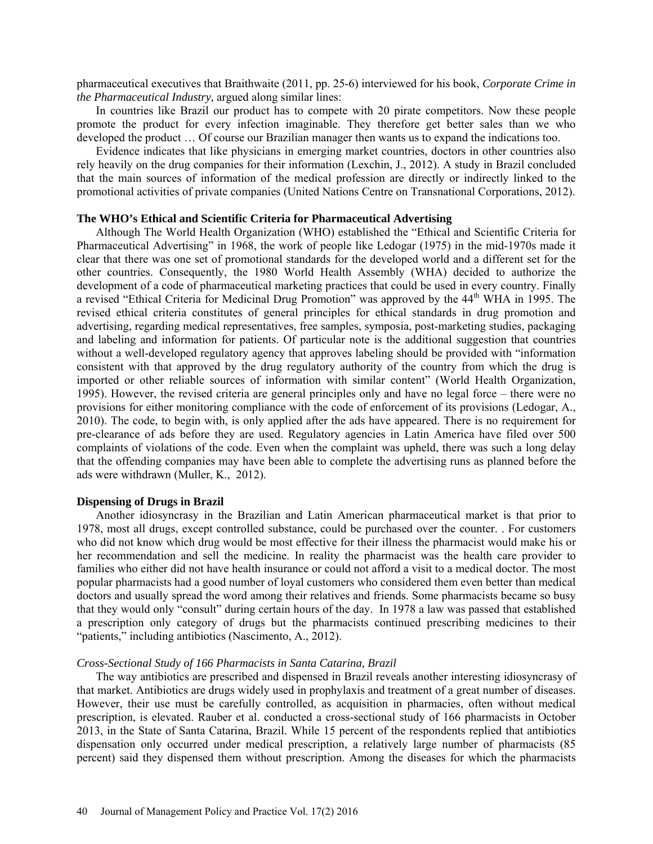pharmaceutical executives that Braithwaite (2011, pp. 25-6) interviewed for his book, *Corporate Crime in the Pharmaceutical Industry,* argued along similar lines:

In countries like Brazil our product has to compete with 20 pirate competitors. Now these people promote the product for every infection imaginable. They therefore get better sales than we who developed the product … Of course our Brazilian manager then wants us to expand the indications too.

Evidence indicates that like physicians in emerging market countries, doctors in other countries also rely heavily on the drug companies for their information (Lexchin, J., 2012). A study in Brazil concluded that the main sources of information of the medical profession are directly or indirectly linked to the promotional activities of private companies (United Nations Centre on Transnational Corporations, 2012).

#### **The WHO's Ethical and Scientific Criteria for Pharmaceutical Advertising**

Although The World Health Organization (WHO) established the "Ethical and Scientific Criteria for Pharmaceutical Advertising" in 1968, the work of people like Ledogar (1975) in the mid-1970s made it clear that there was one set of promotional standards for the developed world and a different set for the other countries. Consequently, the 1980 World Health Assembly (WHA) decided to authorize the development of a code of pharmaceutical marketing practices that could be used in every country. Finally a revised "Ethical Criteria for Medicinal Drug Promotion" was approved by the 44<sup>th</sup> WHA in 1995. The revised ethical criteria constitutes of general principles for ethical standards in drug promotion and advertising, regarding medical representatives, free samples, symposia, post-marketing studies, packaging and labeling and information for patients. Of particular note is the additional suggestion that countries without a well-developed regulatory agency that approves labeling should be provided with "information consistent with that approved by the drug regulatory authority of the country from which the drug is imported or other reliable sources of information with similar content" (World Health Organization, 1995). However, the revised criteria are general principles only and have no legal force – there were no provisions for either monitoring compliance with the code of enforcement of its provisions (Ledogar, A., 2010). The code, to begin with, is only applied after the ads have appeared. There is no requirement for pre-clearance of ads before they are used. Regulatory agencies in Latin America have filed over 500 complaints of violations of the code. Even when the complaint was upheld, there was such a long delay that the offending companies may have been able to complete the advertising runs as planned before the ads were withdrawn (Muller, K., 2012).

### **Dispensing of Drugs in Brazil**

Another idiosyncrasy in the Brazilian and Latin American pharmaceutical market is that prior to 1978, most all drugs, except controlled substance, could be purchased over the counter. . For customers who did not know which drug would be most effective for their illness the pharmacist would make his or her recommendation and sell the medicine. In reality the pharmacist was the health care provider to families who either did not have health insurance or could not afford a visit to a medical doctor. The most popular pharmacists had a good number of loyal customers who considered them even better than medical doctors and usually spread the word among their relatives and friends. Some pharmacists became so busy that they would only "consult" during certain hours of the day. In 1978 a law was passed that established a prescription only category of drugs but the pharmacists continued prescribing medicines to their "patients," including antibiotics (Nascimento, A., 2012).

#### *Cross-Sectional Study of 166 Pharmacists in Santa Catarina, Brazil*

The way antibiotics are prescribed and dispensed in Brazil reveals another interesting idiosyncrasy of that market. Antibiotics are drugs widely used in prophylaxis and treatment of a great number of diseases. However, their use must be carefully controlled, as acquisition in pharmacies, often without medical prescription, is elevated. Rauber et al. conducted a cross-sectional study of 166 pharmacists in October 2013, in the State of Santa Catarina, Brazil. While 15 percent of the respondents replied that antibiotics dispensation only occurred under medical prescription, a relatively large number of pharmacists (85 percent) said they dispensed them without prescription. Among the diseases for which the pharmacists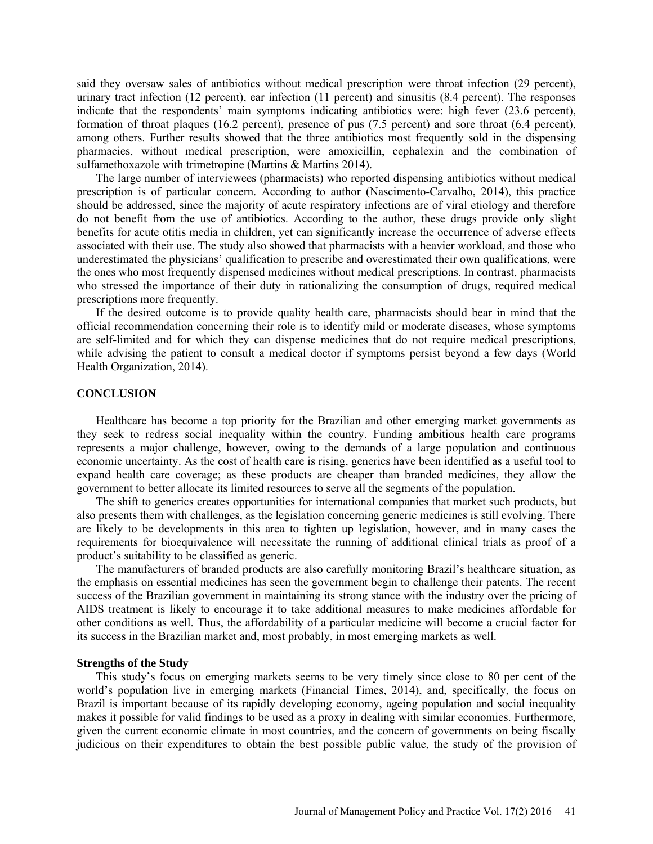said they oversaw sales of antibiotics without medical prescription were throat infection (29 percent), urinary tract infection (12 percent), ear infection (11 percent) and sinusitis (8.4 percent). The responses indicate that the respondents' main symptoms indicating antibiotics were: high fever (23.6 percent), formation of throat plaques (16.2 percent), presence of pus (7.5 percent) and sore throat (6.4 percent), among others. Further results showed that the three antibiotics most frequently sold in the dispensing pharmacies, without medical prescription, were amoxicillin, cephalexin and the combination of sulfamethoxazole with trimetropine (Martins & Martins 2014).

The large number of interviewees (pharmacists) who reported dispensing antibiotics without medical prescription is of particular concern. According to author (Nascimento-Carvalho, 2014), this practice should be addressed, since the majority of acute respiratory infections are of viral etiology and therefore do not benefit from the use of antibiotics. According to the author, these drugs provide only slight benefits for acute otitis media in children, yet can significantly increase the occurrence of adverse effects associated with their use. The study also showed that pharmacists with a heavier workload, and those who underestimated the physicians' qualification to prescribe and overestimated their own qualifications, were the ones who most frequently dispensed medicines without medical prescriptions. In contrast, pharmacists who stressed the importance of their duty in rationalizing the consumption of drugs, required medical prescriptions more frequently.

If the desired outcome is to provide quality health care, pharmacists should bear in mind that the official recommendation concerning their role is to identify mild or moderate diseases, whose symptoms are self-limited and for which they can dispense medicines that do not require medical prescriptions, while advising the patient to consult a medical doctor if symptoms persist beyond a few days (World Health Organization, 2014).

#### **CONCLUSION**

Healthcare has become a top priority for the Brazilian and other emerging market governments as they seek to redress social inequality within the country. Funding ambitious health care programs represents a major challenge, however, owing to the demands of a large population and continuous economic uncertainty. As the cost of health care is rising, generics have been identified as a useful tool to expand health care coverage; as these products are cheaper than branded medicines, they allow the government to better allocate its limited resources to serve all the segments of the population.

The shift to generics creates opportunities for international companies that market such products, but also presents them with challenges, as the legislation concerning generic medicines is still evolving. There are likely to be developments in this area to tighten up legislation, however, and in many cases the requirements for bioequivalence will necessitate the running of additional clinical trials as proof of a product's suitability to be classified as generic.

The manufacturers of branded products are also carefully monitoring Brazil's healthcare situation, as the emphasis on essential medicines has seen the government begin to challenge their patents. The recent success of the Brazilian government in maintaining its strong stance with the industry over the pricing of AIDS treatment is likely to encourage it to take additional measures to make medicines affordable for other conditions as well. Thus, the affordability of a particular medicine will become a crucial factor for its success in the Brazilian market and, most probably, in most emerging markets as well.

#### **Strengths of the Study**

This study's focus on emerging markets seems to be very timely since close to 80 per cent of the world's population live in emerging markets (Financial Times, 2014), and, specifically, the focus on Brazil is important because of its rapidly developing economy, ageing population and social inequality makes it possible for valid findings to be used as a proxy in dealing with similar economies. Furthermore, given the current economic climate in most countries, and the concern of governments on being fiscally judicious on their expenditures to obtain the best possible public value, the study of the provision of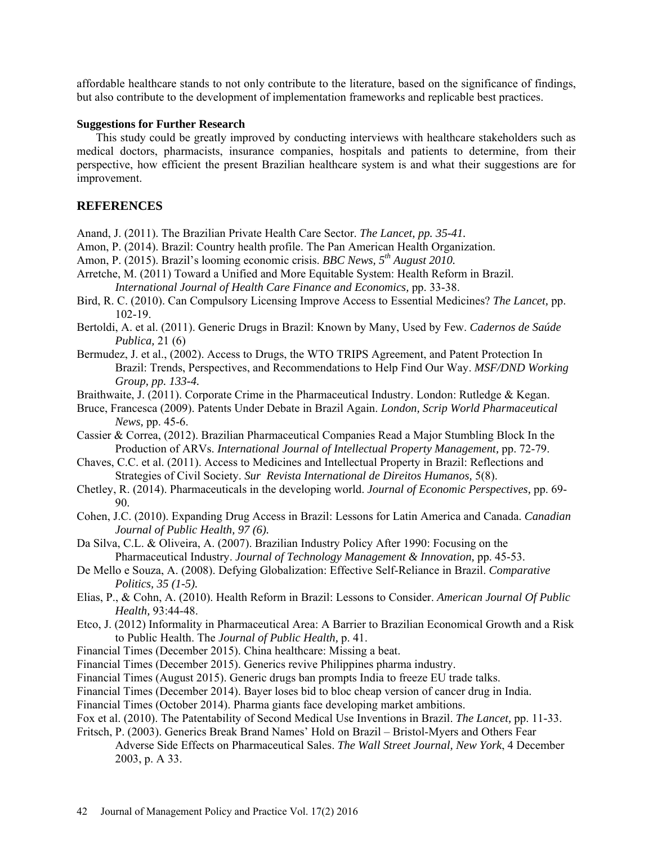affordable healthcare stands to not only contribute to the literature, based on the significance of findings, but also contribute to the development of implementation frameworks and replicable best practices.

#### **Suggestions for Further Research**

This study could be greatly improved by conducting interviews with healthcare stakeholders such as medical doctors, pharmacists, insurance companies, hospitals and patients to determine, from their perspective, how efficient the present Brazilian healthcare system is and what their suggestions are for improvement.

## **REFERENCES**

- Anand, J. (2011). The Brazilian Private Health Care Sector. *The Lancet, pp. 35-41.*
- Amon, P. (2014). Brazil: Country health profile. The Pan American Health Organization.
- Amon, P. (2015). Brazil's looming economic crisis. *BBC News, 5th August 2010.*
- Arretche, M. (2011) Toward a Unified and More Equitable System: Health Reform in Brazil. *International Journal of Health Care Finance and Economics,* pp. 33-38.
- Bird, R. C. (2010). Can Compulsory Licensing Improve Access to Essential Medicines? *The Lancet,* pp. 102-19.
- Bertoldi, A. et al. (2011). Generic Drugs in Brazil: Known by Many, Used by Few. *Cadernos de Saúde Publica,* 21 (6)
- Bermudez, J. et al., (2002). Access to Drugs, the WTO TRIPS Agreement, and Patent Protection In Brazil: Trends, Perspectives, and Recommendations to Help Find Our Way. *MSF/DND Working Group, pp. 133-4.*
- Braithwaite, J. (2011). Corporate Crime in the Pharmaceutical Industry. London: Rutledge & Kegan.
- Bruce, Francesca (2009). Patents Under Debate in Brazil Again. *London, Scrip World Pharmaceutical News,* pp. 45-6.
- Cassier & Correa, (2012). Brazilian Pharmaceutical Companies Read a Major Stumbling Block In the Production of ARVs. *International Journal of Intellectual Property Management,* pp. 72-79.
- Chaves, C.C. et al. (2011). Access to Medicines and Intellectual Property in Brazil: Reflections and Strategies of Civil Society. *Sur Revista International de Direitos Humanos,* 5(8).
- Chetley, R. (2014). Pharmaceuticals in the developing world. *Journal of Economic Perspectives,* pp. 69- 90.
- Cohen, J.C. (2010). Expanding Drug Access in Brazil: Lessons for Latin America and Canada. *Canadian Journal of Public Health, 97 (6).*
- Da Silva, C.L. & Oliveira, A. (2007). Brazilian Industry Policy After 1990: Focusing on the Pharmaceutical Industry. *Journal of Technology Management & Innovation,* pp. 45-53.
- De Mello e Souza, A. (2008). Defying Globalization: Effective Self-Reliance in Brazil. *Comparative Politics, 35 (1-5).*
- Elias, P., & Cohn, A. (2010). Health Reform in Brazil: Lessons to Consider. *American Journal Of Public Health,* 93:44-48.
- Etco, J. (2012) Informality in Pharmaceutical Area: A Barrier to Brazilian Economical Growth and a Risk to Public Health. The *Journal of Public Health,* p. 41.
- Financial Times (December 2015). China healthcare: Missing a beat.
- Financial Times (December 2015). Generics revive Philippines pharma industry.
- Financial Times (August 2015). Generic drugs ban prompts India to freeze EU trade talks.
- Financial Times (December 2014). Bayer loses bid to bloc cheap version of cancer drug in India.
- Financial Times (October 2014). Pharma giants face developing market ambitions.
- Fox et al. (2010). The Patentability of Second Medical Use Inventions in Brazil. *The Lancet,* pp. 11-33.
- Fritsch, P. (2003). Generics Break Brand Names' Hold on Brazil Bristol-Myers and Others Fear Adverse Side Effects on Pharmaceutical Sales. *The Wall Street Journal, New York*, 4 December 2003, p. A 33.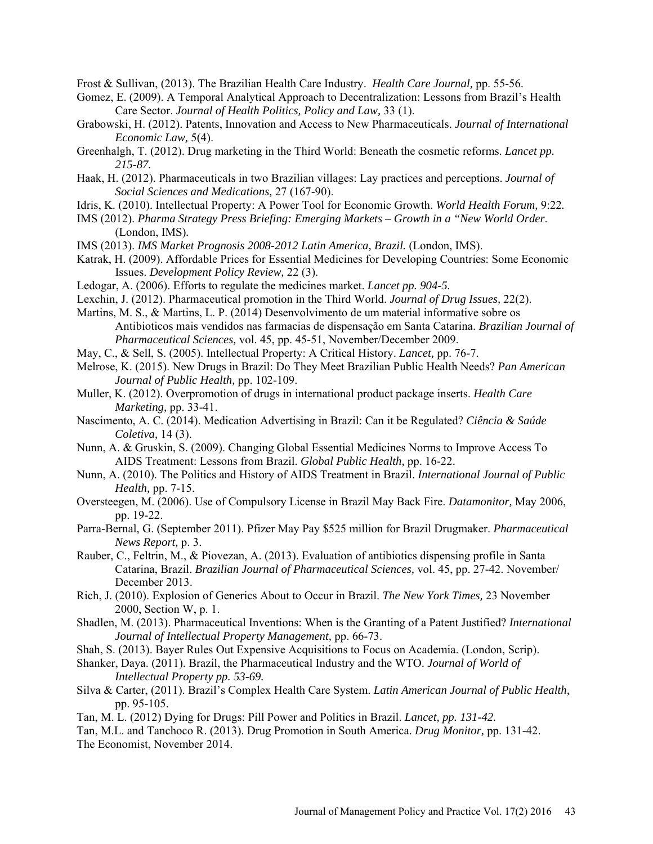Frost & Sullivan, (2013). The Brazilian Health Care Industry. *Health Care Journal,* pp. 55-56.

- Gomez, E. (2009). A Temporal Analytical Approach to Decentralization: Lessons from Brazil's Health Care Sector. *Journal of Health Politics, Policy and Law,* 33 (1).
- Grabowski, H. (2012). Patents, Innovation and Access to New Pharmaceuticals. *Journal of International Economic Law,* 5(4).
- Greenhalgh, T. (2012). Drug marketing in the Third World: Beneath the cosmetic reforms. *Lancet pp. 215-87.*
- Haak, H. (2012). Pharmaceuticals in two Brazilian villages: Lay practices and perceptions. *Journal of Social Sciences and Medications,* 27 (167-90).
- Idris, K. (2010). Intellectual Property: A Power Tool for Economic Growth. *World Health Forum,* 9:22*.*
- IMS (2012). *Pharma Strategy Press Briefing: Emerging Markets Growth in a "New World Order*. (London, IMS)*.*
- IMS (2013). *IMS Market Prognosis 2008-2012 Latin America, Brazil.* (London, IMS).
- Katrak, H. (2009). Affordable Prices for Essential Medicines for Developing Countries: Some Economic Issues. *Development Policy Review,* 22 (3).
- Ledogar, A. (2006). Efforts to regulate the medicines market. *Lancet pp. 904-5.*
- Lexchin, J. (2012). Pharmaceutical promotion in the Third World. *Journal of Drug Issues,* 22(2).
- Martins, M. S., & Martins, L. P. (2014) Desenvolvimento de um material informative sobre os Antibioticos mais vendidos nas farmacias de dispensaҁão em Santa Catarina. *Brazilian Journal of Pharmaceutical Sciences,* vol. 45, pp. 45-51, November/December 2009.
- May, C., & Sell, S. (2005). Intellectual Property: A Critical History. *Lancet,* pp. 76-7.
- Melrose, K. (2015). New Drugs in Brazil: Do They Meet Brazilian Public Health Needs? *Pan American Journal of Public Health,* pp. 102-109.
- Muller, K. (2012). Overpromotion of drugs in international product package inserts. *Health Care Marketing,* pp. 33-41.
- Nascimento, A. C. (2014). Medication Advertising in Brazil: Can it be Regulated? *Ciência & Saúde Coletiva,* 14 (3).
- Nunn, A. & Gruskin, S. (2009). Changing Global Essential Medicines Norms to Improve Access To AIDS Treatment: Lessons from Brazil. *Global Public Health,* pp. 16-22.
- Nunn, A. (2010). The Politics and History of AIDS Treatment in Brazil. *International Journal of Public Health,* pp. 7-15.
- Oversteegen, M. (2006). Use of Compulsory License in Brazil May Back Fire. *Datamonitor,* May 2006, pp. 19-22.
- Parra-Bernal, G. (September 2011). Pfizer May Pay \$525 million for Brazil Drugmaker. *Pharmaceutical News Report,* p. 3.
- Rauber, C., Feltrin, M., & Piovezan, A. (2013). Evaluation of antibiotics dispensing profile in Santa Catarina, Brazil. *Brazilian Journal of Pharmaceutical Sciences,* vol. 45, pp. 27-42. November/ December 2013.
- Rich, J. (2010). Explosion of Generics About to Occur in Brazil. *The New York Times,* 23 November 2000, Section W, p. 1.
- Shadlen, M. (2013). Pharmaceutical Inventions: When is the Granting of a Patent Justified? *International Journal of Intellectual Property Management,* pp. 66-73.
- Shah, S. (2013). Bayer Rules Out Expensive Acquisitions to Focus on Academia. (London, Scrip).
- Shanker, Daya. (2011). Brazil, the Pharmaceutical Industry and the WTO. *Journal of World of Intellectual Property pp. 53-69.*
- Silva & Carter, (2011). Brazil's Complex Health Care System. *Latin American Journal of Public Health,*  pp. 95-105.
- Tan, M. L. (2012) Dying for Drugs: Pill Power and Politics in Brazil. *Lancet, pp. 131-42.*
- Tan, M.L. and Tanchoco R. (2013). Drug Promotion in South America. *Drug Monitor,* pp. 131-42. The Economist, November 2014.